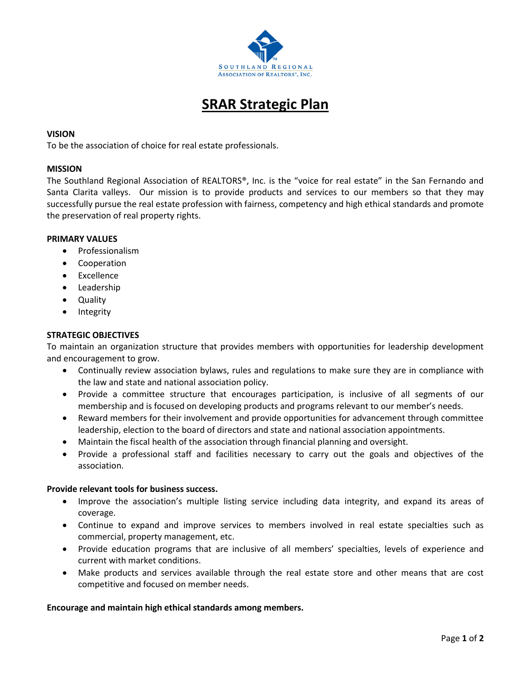

# **SRAR Strategic Plan**

## **VISION**

To be the association of choice for real estate professionals.

## **MISSION**

The Southland Regional Association of REALTORS®, Inc. is the "voice for real estate" in the San Fernando and Santa Clarita valleys. Our mission is to provide products and services to our members so that they may successfully pursue the real estate profession with fairness, competency and high ethical standards and promote the preservation of real property rights.

## **PRIMARY VALUES**

- Professionalism
- Cooperation
- Excellence
- Leadership
- Quality
- Integrity

## **STRATEGIC OBJECTIVES**

To maintain an organization structure that provides members with opportunities for leadership development and encouragement to grow.

- Continually review association bylaws, rules and regulations to make sure they are in compliance with the law and state and national association policy.
- Provide a committee structure that encourages participation, is inclusive of all segments of our membership and is focused on developing products and programs relevant to our member's needs.
- Reward members for their involvement and provide opportunities for advancement through committee leadership, election to the board of directors and state and national association appointments.
- Maintain the fiscal health of the association through financial planning and oversight.
- Provide a professional staff and facilities necessary to carry out the goals and objectives of the association.

## **Provide relevant tools for business success.**

- Improve the association's multiple listing service including data integrity, and expand its areas of coverage.
- Continue to expand and improve services to members involved in real estate specialties such as commercial, property management, etc.
- Provide education programs that are inclusive of all members' specialties, levels of experience and current with market conditions.
- Make products and services available through the real estate store and other means that are cost competitive and focused on member needs.

## **Encourage and maintain high ethical standards among members.**